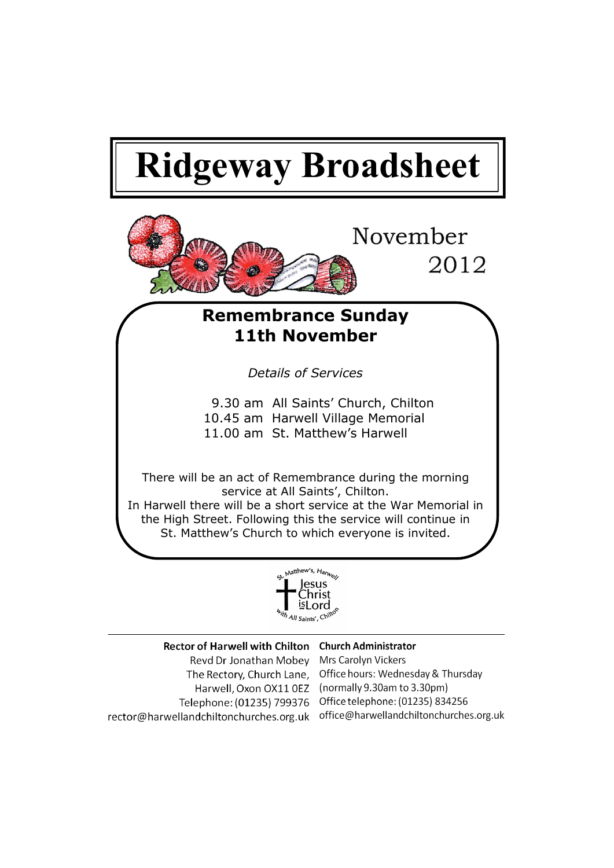# **Ridgeway Broadsheet**



## **Remembrance Sunday 11th November**

*Details of Services*

- 9.30 am All Saints' Church, Chilton 10.45 am Harwell Village Memorial
- 11.00 am St. Matthew's Harwell

There will be an act of Remembrance during the morning service at All Saints', Chilton. In Harwell there will be a short service at the War Memorial in the High Street. Following this the service will continue in St. Matthew's Church to which everyone is invited.



| Rector of Harwell with Chilton Church Administrator |                                                              |
|-----------------------------------------------------|--------------------------------------------------------------|
| Revd Dr Jonathan Mobey                              | Mrs Carolyn Vickers                                          |
|                                                     | The Rectory, Church Lane, Office hours: Wednesday & Thursday |
| Harwell, Oxon OX11 0EZ                              | (normally 9.30am to 3.30pm)                                  |
| Telephone: (01235) 799376                           | Office telephone: (01235) 834256                             |
| rector@harwellandchiltonchurches.org.uk             | office@harwellandchiltonchurches.org.uk                      |
|                                                     |                                                              |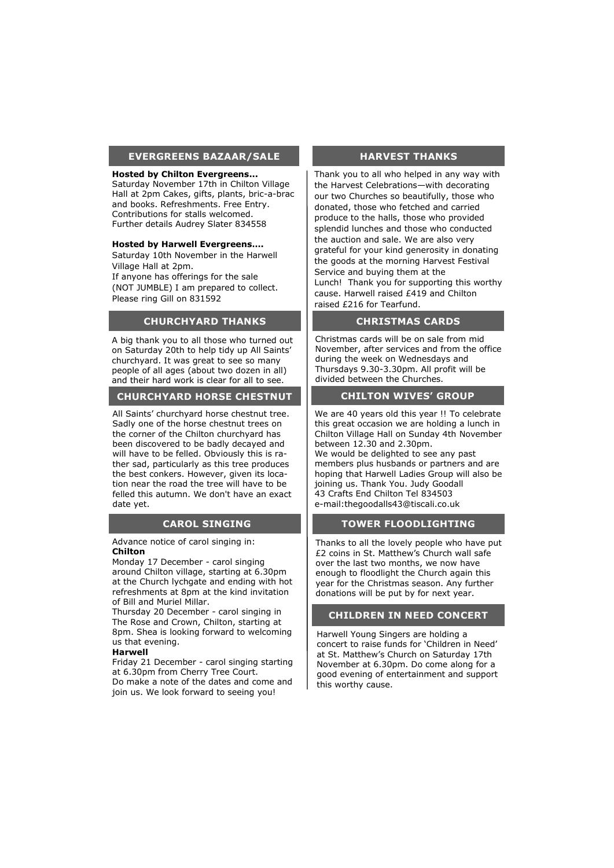#### **EVERGREENS BAZAAR/SALE**

#### **Hosted by Chilton Evergreens...**

Saturday November 17th in Chilton Village Hall at 2pm Cakes, gifts, plants, bric-a-brac and books. Refreshments. Free Entry. Contributions for stalls welcomed. Further details Audrey Slater 834558

#### **Hosted by Harwell Evergreens….**

Saturday 10th November in the Harwell Village Hall at 2pm.

If anyone has offerings for the sale (NOT JUMBLE) I am prepared to collect. Please ring Gill on 831592

#### **CHURCHYARD THANKS**

A big thank you to all those who turned out on Saturday 20th to help tidy up All Saints' churchyard. It was great to see so many people of all ages (about two dozen in all) and their hard work is clear for all to see.

#### **CHURCHYARD HORSE CHESTNUT**

All Saints' churchyard horse chestnut tree. Sadly one of the horse chestnut trees on the corner of the Chilton churchyard has been discovered to be badly decayed and will have to be felled. Obviously this is rather sad, particularly as this tree produces the best conkers. However, given its location near the road the tree will have to be felled this autumn. We don't have an exact date yet.

#### **CAROL SINGING**

Advance notice of carol singing in: **Chilton**

Monday 17 December - carol singing around Chilton village, starting at 6.30pm at the Church lychgate and ending with hot refreshments at 8pm at the kind invitation of Bill and Muriel Millar.

Thursday 20 December - carol singing in The Rose and Crown, Chilton, starting at 8pm. Shea is looking forward to welcoming us that evening.

#### **Harwell**

Friday 21 December - carol singing starting at 6.30pm from Cherry Tree Court. Do make a note of the dates and come and join us. We look forward to seeing you!

#### **HARVEST THANKS**

Thank you to all who helped in any way with the Harvest Celebrations—with decorating our two Churches so beautifully, those who donated, those who fetched and carried produce to the halls, those who provided splendid lunches and those who conducted the auction and sale. We are also very grateful for your kind generosity in donating the goods at the morning Harvest Festival Service and buying them at the Lunch! Thank you for supporting this worthy cause. Harwell raised £419 and Chilton raised £216 for Tearfund.

#### **CHRISTMAS CARDS**

Christmas cards will be on sale from mid November, after services and from the office during the week on Wednesdays and Thursdays 9.30-3.30pm. All profit will be divided between the Churches.

#### **CHILTON WIVES' GROUP**

We are 40 years old this year !! To celebrate this great occasion we are holding a lunch in Chilton Village Hall on Sunday 4th November between 12.30 and 2.30pm. We would be delighted to see any past members plus husbands or partners and are hoping that Harwell Ladies Group will also be joining us. Thank You. Judy Goodall 43 Crafts End Chilton Tel 834503 e-mail:thegoodalls43@tiscali.co.uk

#### **TOWER FLOODLIGHTING**

Thanks to all the lovely people who have put £2 coins in St. Matthew's Church wall safe over the last two months, we now have enough to floodlight the Church again this year for the Christmas season. Any further donations will be put by for next year.

#### **CHILDREN IN NEED CONCERT**

Harwell Young Singers are holding a concert to raise funds for 'Children in Need' at St. Matthew's Church on Saturday 17th November at 6.30pm. Do come along for a good evening of entertainment and support this worthy cause.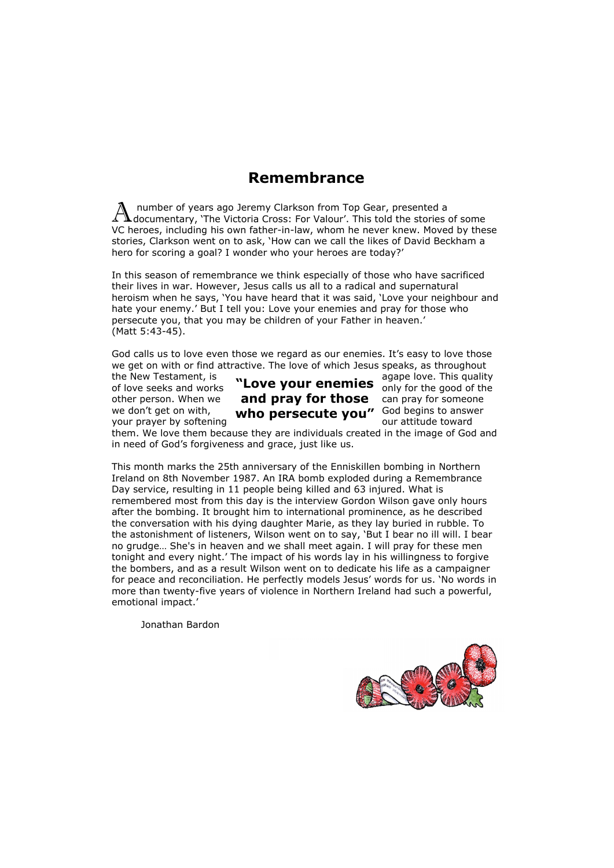## **Remembrance**

A number of years ago Jeremy Clarkson from Top Gear, presented a documentary, 'The Victoria Cross: For Valour'. This told the stories of some number of years ago Jeremy Clarkson from Top Gear, presented a VC heroes, including his own father-in-law, whom he never knew. Moved by these stories, Clarkson went on to ask, 'How can we call the likes of David Beckham a hero for scoring a goal? I wonder who your heroes are today?'

In this season of remembrance we think especially of those who have sacrificed their lives in war. However, Jesus calls us all to a radical and supernatural heroism when he says, 'You have heard that it was said, 'Love your neighbour and hate your enemy.' But I tell you: Love your enemies and pray for those who persecute you, that you may be children of your Father in heaven.' (Matt 5:43-45).

God calls us to love even those we regard as our enemies. It's easy to love those we get on with or find attractive. The love of which Jesus speaks, as throughout

the New Testament, is  $\mathbf{u}_{\text{max}}$  agape love. This quality

#### of love seeks and works **"Love your enemies** only for the good of the other person. When we **and pray for those** can pray for someone we don't get on with,  $\mathbf{w}$ ho nersecute vou" God begins to answer we don't get on with, **who persecute you"** God begins to answers we have a served to word the domain who used to<br>your prayer by softening

them. We love them because they are individuals created in the image of God and in need of God's forgiveness and grace, just like us.

This month marks the 25th anniversary of the Enniskillen bombing in Northern Ireland on 8th November 1987. An IRA bomb exploded during a Remembrance Day service, resulting in 11 people being killed and 63 injured. What is remembered most from this day is the interview Gordon Wilson gave only hours after the bombing. It brought him to international prominence, as he described the conversation with his dying daughter Marie, as they lay buried in rubble. To the astonishment of listeners, Wilson went on to say, 'But I bear no ill will. I bear no grudge… She's in heaven and we shall meet again. I will pray for these men tonight and every night.' The impact of his words lay in his willingness to forgive the bombers, and as a result Wilson went on to dedicate his life as a campaigner for peace and reconciliation. He perfectly models Jesus' words for us. 'No words in more than twenty-five years of violence in Northern Ireland had such a powerful, emotional impact.'

Jonathan Bardon

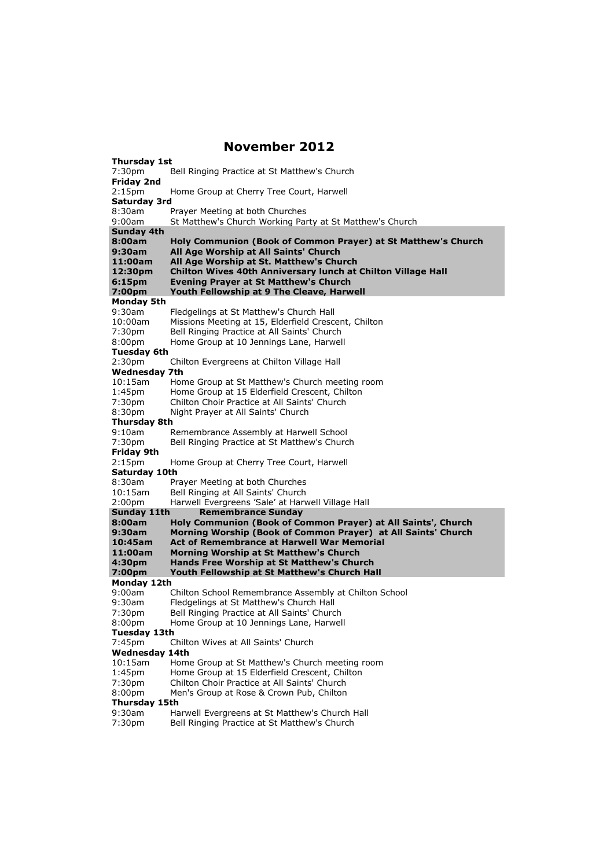### **November 2012**

**Thursday 1st** 7:30pm Bell Ringing Practice at St Matthew's Church **Friday 2nd** 2:15pm Home Group at Cherry Tree Court, Harwell **Saturday 3rd** 8:30am Prayer Meeting at both Churches 9:00am St Matthew's Church Working Party at St Matthew's Church **Sunday 4th 8:00am Holy Communion (Book of Common Prayer) at St Matthew's Church 9:30am All Age Worship at All Saints' Church 11:00am All Age Worship at St. Matthew's Church 12:30pm Chilton Wives 40th Anniversary lunch at Chilton Village Hall Evening Prayer at St Matthew's Church 7:00pm Youth Fellowship at 9 The Cleave, Harwell Monday 5th** 9:30am Fledgelings at St Matthew's Church Hall<br>10:00am Missions Meeting at 15. Elderfield Cresc Missions Meeting at 15, Elderfield Crescent, Chilton 7:30pm Bell Ringing Practice at All Saints' Church 8:00pm Home Group at 10 Jennings Lane, Harwell **Tuesday 6th** 2:30pm Chilton Evergreens at Chilton Village Hall **Wednesday 7th**<br>10:15am Hor 10:15am Home Group at St Matthew's Church meeting room<br>1:45pm Home Group at 15 Elderfield Crescent. Chilton 1:45pm Home Group at 15 Elderfield Crescent, Chilton<br>7:30pm Chilton Choir Practice at All Saints' Church 7:30pm Chilton Choir Practice at All Saints' Church Night Prayer at All Saints' Church **Thursday 8th** 9:10am Remembrance Assembly at Harwell School 7:30pm Bell Ringing Practice at St Matthew's Church **Friday 9th** 2:15pm Home Group at Cherry Tree Court, Harwell **Saturday 10th** 8:30am Prayer Meeting at both Churches 10:15am Bell Ringing at All Saints' Church 2:00pm Harwell Evergreens 'Sale' at Harwell Village Hall **Sunday 11th Remembrance Sunday 8:00am [Holy Communion \(Book of Common Prayer\)](javascript:showEvent() at All Saints', Church 9:30am [Morning Worship \(Book of Common Prayer\)](javascript:showEvent() at All Saints' Church 10:45am [Act of Remembrance](javascript:showEvent() at Harwell War Memorial 11:00am Morning Worship at St Matthew's Church 4:30pm [Hands Free Worship](javascript:showEvent() at St Matthew's Church 7:00pm [Youth Fellowship](javascript:showEvent() at St Matthew's Church Hall Monday 12th** 9:00am Chilton School Remembrance Assembly at Chilton School 9:30am Fledgelings at St Matthew's Church Hall 7:30pm Bell Ringing Practice at All Saints' Church 8:00pm Home Group at 10 Jennings Lane, Harwell **Tuesday 13th** 7:45pm Chilton Wives at All Saints' Church **Wednesday 14th**<br>10:15am Hom Home Group at St Matthew's Church meeting room 1:45pm Home Group at 15 Elderfield Crescent, Chilton<br>7:30pm Chilton Choir Practice at All Saints' Church 7:30pm Chilton Choir Practice at All Saints' Church<br>8:00pm Men's Group at Rose & Crown Pub, Chilton Men's Group at Rose & Crown Pub, Chilton **Thursday 15th** 9:30am Harwell Evergreens at St Matthew's Church Hall

7:30pm Bell Ringing Practice at St Matthew's Church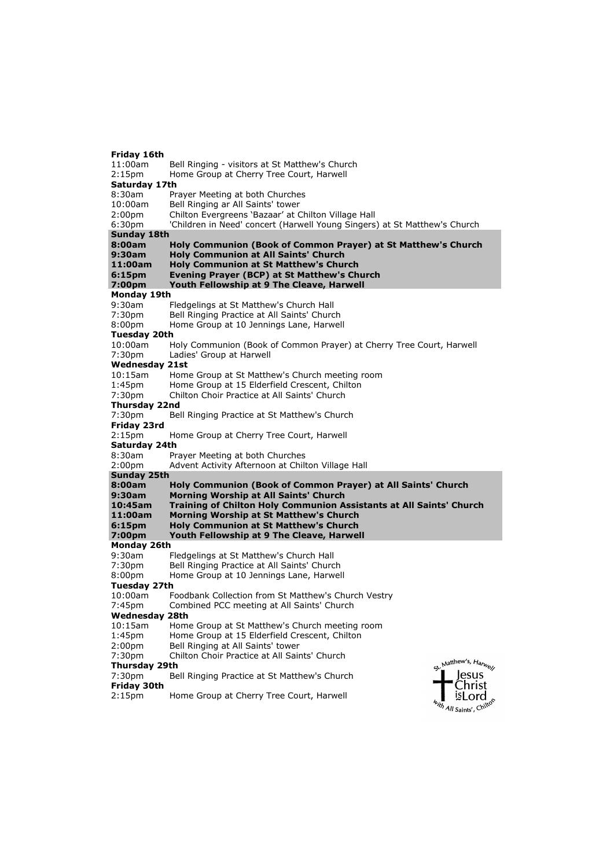#### **Friday 16th** 11:00am Bell Ringing - visitors at St Matthew's Church 2:15pm Home Group at Cherry Tree Court, Harwell **Saturday 17th** 8:30am Prayer Meeting at both Churches 10:00am Bell Ringing ar All Saints' tower 2:00pm Chilton Evergreens 'Bazaar' at Chilton Village Hall 6:30pm 'Children in Need' concert (Harwell Young Singers) at St Matthew's Church **Sunday 18th 8:00am Holy Communion (Book of Common Prayer) at St Matthew's Church 9:30am Holy Communion at All Saints' Church 11:00am Holy Communion at St Matthew's Church 6:15pm Evening Prayer (BCP) at St Matthew's Church 7:00pm Youth Fellowship at 9 The Cleave, Harwell Monday 19th**<br>9:30am Fledgelings at St Matthew's Church Hall 7:30pm Bell Ringing Practice at All Saints' Church<br>8:00pm Home Group at 10 Jennings Lane. Harwel Home Group at 10 Jennings Lane, Harwell **Tuesday 20th** Holy Communion (Book of Common Prayer) at Cherry Tree Court, Harwell 7:30pm Ladies' Group at Harwell **Wednesday 21st** 10:15am Home Group at St Matthew's Church meeting room 1:45pm Home Group at 15 Elderfield Crescent, Chilton 7:30pm Chilton Choir Practice at All Saints' Church **Thursday 22nd** 7:30pm Bell Ringing Practice at St Matthew's Church **Friday 23rd** 2:15pm Home Group at Cherry Tree Court, Harwell **Saturday 24th** 8:30am Prayer Meeting at both Churches 2:00pm Advent Activity Afternoon at Chilton Village Hall **Sunday 25th 8:00am Holy Communion (Book of Common Prayer) at All Saints' Church 9:30am Morning Worship at All Saints' Church 10:45am Training of Chilton Holy Communion Assistants at All Saints' Church 11:00am Morning Worship at St Matthew's Church 6:15pm Holy Communion at St Matthew's Church Youth Fellowship at 9 The Cleave, Harwell Monday 26th** 9:30am Fledgelings at St Matthew's Church Hall 7:30pm Bell Ringing Practice at All Saints' Church 8:00pm Home Group at 10 Jennings Lane, Harwell **Tuesday 27th** 10:00am Foodbank Collection from St Matthew's Church Vestry<br>7:45pm Combined PCC meeting at All Saints' Church Combined PCC meeting at All Saints' Church **Wednesday 28th**<br>10:15am Home 10:15am Home Group at St Matthew's Church meeting room<br>1:45pm Home Group at 15 Elderfield Crescent, Chilton Home Group at 15 Elderfield Crescent, Chilton 2:00pm Bell Ringing at All Saints' tower 7:30pm Chilton Choir Practice at All Saints' Church Matthew's, Harwey **Thursday 29th** lesus 7:30pm Bell Ringing Practice at St Matthew's Church **Friday 30th** Christ 2:15pm Home Group at Cherry Tree Court, HarwellisLord

th All Saints', Chil<sup>te</sup>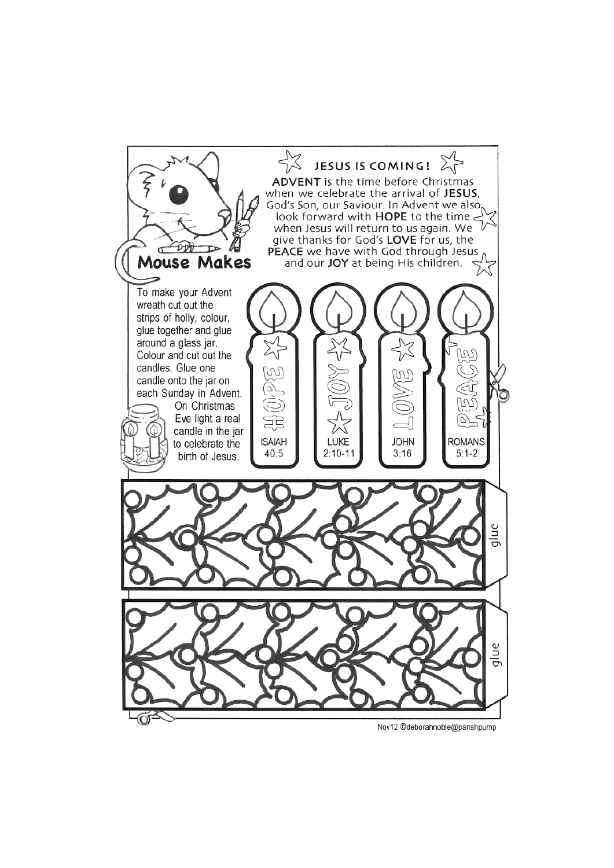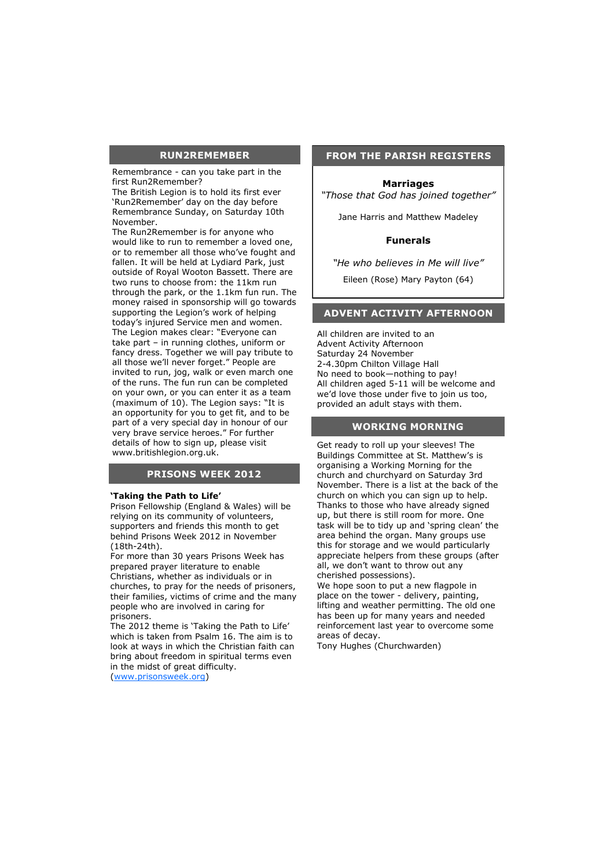#### **RUN2REMEMBER**

Remembrance - can you take part in the first Run2Remember?

The British Legion is to hold its first ever 'Run2Remember' day on the day before Remembrance Sunday, on Saturday 10th November.

The Run2Remember is for anyone who would like to run to remember a loved one, or to remember all those who've fought and fallen. It will be held at Lydiard Park, just outside of Royal Wooton Bassett. There are two runs to choose from: the 11km run through the park, or the 1.1km fun run. The money raised in sponsorship will go towards supporting the Legion's work of helping today's injured Service men and women. The Legion makes clear: "Everyone can take part – in running clothes, uniform or fancy dress. Together we will pay tribute to all those we'll never forget." People are invited to run, jog, walk or even march one of the runs. The fun run can be completed on your own, or you can enter it as a team (maximum of 10). The Legion says: "It is an opportunity for you to get fit, and to be part of a very special day in honour of our very brave service heroes." For further details of how to sign up, please visit www.britishlegion.org.uk.

#### **PRISONS WEEK 2012**

#### **'Taking the Path to Life'**

Prison Fellowship (England & Wales) will be relying on its community of volunteers, supporters and friends this month to get behind Prisons Week 2012 in November (18th-24th).

For more than 30 years Prisons Week has prepared prayer literature to enable Christians, whether as individuals or in churches, to pray for the needs of prisoners, their families, victims of crime and the many people who are involved in caring for prisoners.

The 2012 theme is 'Taking the Path to Life' which is taken from Psalm 16. The aim is to look at ways in which the Christian faith can bring about freedom in spiritual terms even in the midst of great difficulty.

([www.prisonsweek.org\)](http://www.prisonsweek.org)

#### **FROM THE PARISH REGISTERS**

#### **Marriages**

*"Those that God has joined together"* 

[Jane Harris and Matthew Madeley](javascript:showEvent(1772378);)

#### **Funerals**

*"He who believes in Me will live"* Eileen (Rose) Mary Payton (64)

#### **ADVENT ACTIVITY AFTERNOON**

All children are invited to an Advent Activity Afternoon Saturday 24 November 2-4.30pm Chilton Village Hall No need to book—nothing to pay! All children aged 5-11 will be welcome and we'd love those under five to join us too, provided an adult stays with them.

#### **WORKING MORNING**

Get ready to roll up your sleeves! The Buildings Committee at St. Matthew's is organising a Working Morning for the church and churchyard on Saturday 3rd November. There is a list at the back of the church on which you can sign up to help. Thanks to those who have already signed up, but there is still room for more. One task will be to tidy up and 'spring clean' the area behind the organ. Many groups use this for storage and we would particularly appreciate helpers from these groups (after all, we don't want to throw out any cherished possessions).

We hope soon to put a new flagpole in place on the tower - delivery, painting, lifting and weather permitting. The old one has been up for many years and needed reinforcement last year to overcome some areas of decay.

Tony Hughes (Churchwarden)